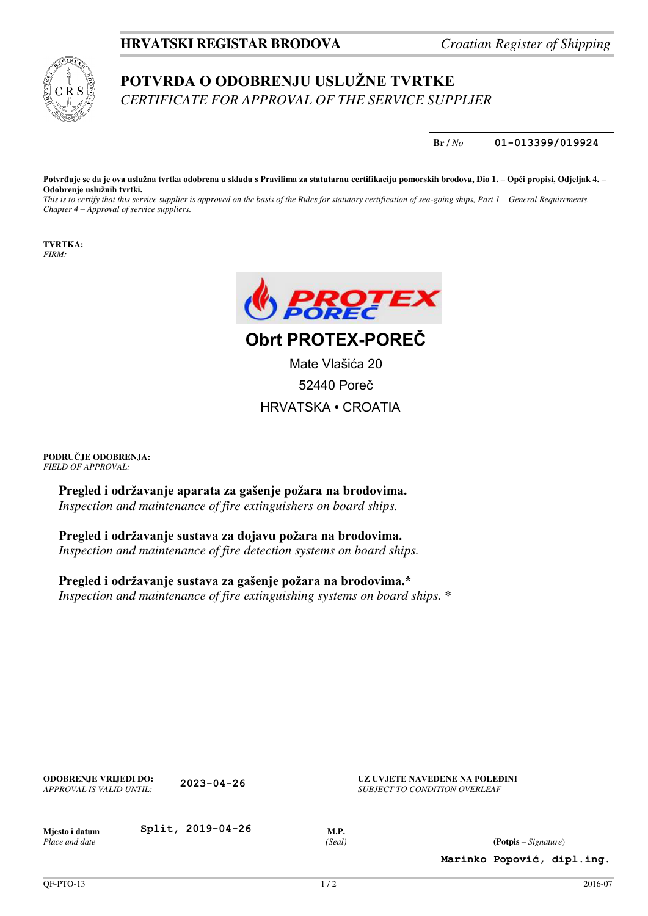## **HRVATSKI REGISTAR BRODOVA** *Croatian Register of Shipping*



## **POTVRDA O ODOBRENJU USLUŽNE TVRTKE** *CERTIFICATE FOR APPROVAL OF THE SERVICE SUPPLIER*

**Br** / *No* **01-013399/019924**

**Potvrđuje se da je ova uslužna tvrtka odobrena u skladu s Pravilima za statutarnu certifikaciju pomorskih brodova, Dio 1. – Opći propisi, Odjeljak 4. – Odobrenje uslužnih tvrtki.**

*This is to certify that this service supplier is approved on the basis of the Rules for statutory certification of sea-going ships, Part 1 – General Requirements, Chapter 4 – Approval of service suppliers.*

**TVRTKA:**  *FIRM:* 



**Obrt PROTEX-POREČ**

Mate Vlašića 20 52440 Poreč HRVATSKA • CROATIA

**PODRUČJE ODOBRENJA:**  *FIELD OF APPROVAL:* 

> **Pregled i održavanje aparata za gašenje požara na brodovima.** *Inspection and maintenance of fire extinguishers on board ships.*

**Pregled i održavanje sustava za dojavu požara na brodovima.** *Inspection and maintenance of fire detection systems on board ships.* 

**Pregled i održavanje sustava za gašenje požara na brodovima.\*** *Inspection and maintenance of fire extinguishing systems on board ships.* **\***

| <b>ODOBRENJE VRLJEDI DO:</b><br>APPROVAL IS VALID UNTIL: | $2023 - 04 - 26$  |                       | UZ UVJETE NAVEDENE NA POLEĐINI<br>SUBJECT TO CONDITION OVERLEAF |                                 |                            |
|----------------------------------------------------------|-------------------|-----------------------|-----------------------------------------------------------------|---------------------------------|----------------------------|
| Mjesto i datum<br>Place and date                         | Split, 2019-04-26 | <b>M.P.</b><br>(Seal) |                                                                 | $( \text{Potpis} - Signature )$ |                            |
|                                                          |                   |                       |                                                                 |                                 | Marinko Popović, dipl.ing. |